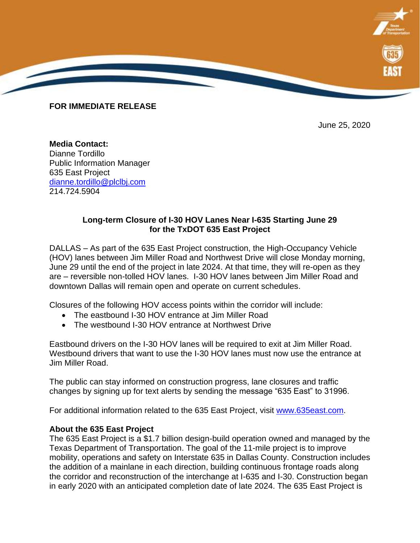

June 25, 2020

**Media Contact:** Dianne Tordillo Public Information Manager 635 East Project [dianne.tordillo@plclbj.com](mailto:dianne.tordillo@plclbj.com) 214.724.5904

**FOR IMMEDIATE RELEASE**

## **Long-term Closure of I-30 HOV Lanes Near I-635 Starting June 29 for the TxDOT 635 East Project**

DALLAS – As part of the 635 East Project construction, the High-Occupancy Vehicle (HOV) lanes between Jim Miller Road and Northwest Drive will close Monday morning, June 29 until the end of the project in late 2024. At that time, they will re-open as they are – reversible non-tolled HOV lanes. I-30 HOV lanes between Jim Miller Road and downtown Dallas will remain open and operate on current schedules.

Closures of the following HOV access points within the corridor will include:

- The eastbound I-30 HOV entrance at Jim Miller Road
- The westbound I-30 HOV entrance at Northwest Drive

Eastbound drivers on the I-30 HOV lanes will be required to exit at Jim Miller Road. Westbound drivers that want to use the I-30 HOV lanes must now use the entrance at Jim Miller Road.

The public can stay informed on construction progress, lane closures and traffic changes by signing up for text alerts by sending the message "635 East" to 31996.

For additional information related to the 635 East Project, visit [www.635east.com.](http://www.635east.com/)

## **About the 635 East Project**

The 635 East Project is a \$1.7 billion design-build operation owned and managed by the Texas Department of Transportation. The goal of the 11-mile project is to improve mobility, operations and safety on Interstate 635 in Dallas County. Construction includes the addition of a mainlane in each direction, building continuous frontage roads along the corridor and reconstruction of the interchange at I-635 and I-30. Construction began in early 2020 with an anticipated completion date of late 2024. The 635 East Project is